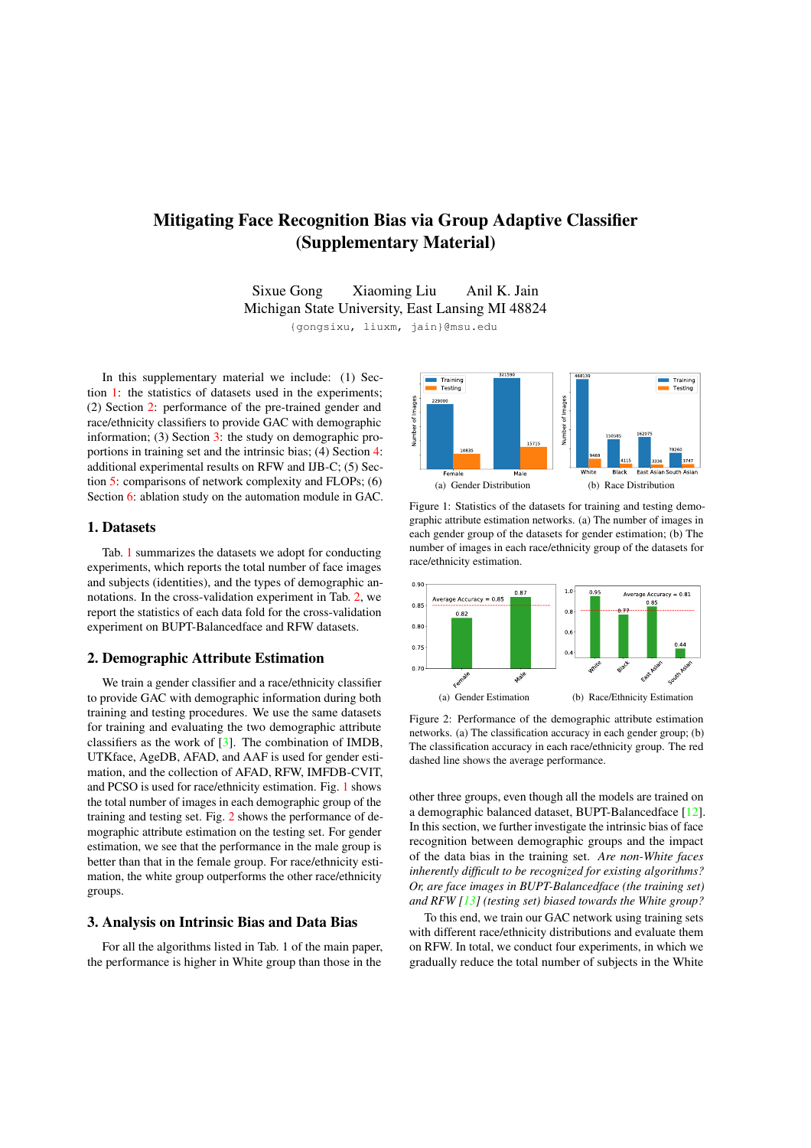# Mitigating Face Recognition Bias via Group Adaptive Classifier (Supplementary Material)

Sixue Gong Xiaoming Liu Anil K. Jain Michigan State University, East Lansing MI 48824

{gongsixu, liuxm, jain}@msu.edu

In this supplementary material we include: (1) Section 1: the statistics of datasets used in the experiments; (2) Section 2: performance of the pre-trained gender and race/ethnicity classifiers to provide GAC with demographic information; (3) Section 3: the study on demographic proportions in training set and the intrinsic bias; (4) Section 4: additional experimental results on RFW and IJB-C; (5) Section 5: comparisons of network complexity and FLOPs; (6) Section 6: ablation study on the automation module in GAC.

## 1. Datasets

Tab. 1 summarizes the datasets we adopt for conducting experiments, which reports the total number of face images and subjects (identities), and the types of demographic annotations. In the cross-validation experiment in Tab. 2, we report the statistics of each data fold for the cross-validation experiment on BUPT-Balancedface and RFW datasets.

#### 2. Demographic Attribute Estimation

We train a gender classifier and a race/ethnicity classifier to provide GAC with demographic information during both training and testing procedures. We use the same datasets for training and evaluating the two demographic attribute classifiers as the work of [3]. The combination of IMDB, UTKface, AgeDB, AFAD, and AAF is used for gender estimation, and the collection of AFAD, RFW, IMFDB-CVIT, and PCSO is used for race/ethnicity estimation. Fig. 1 shows the total number of images in each demographic group of the training and testing set. Fig. 2 shows the performance of demographic attribute estimation on the testing set. For gender estimation, we see that the performance in the male group is better than that in the female group. For race/ethnicity estimation, the white group outperforms the other race/ethnicity groups.

## 3. Analysis on Intrinsic Bias and Data Bias

For all the algorithms listed in Tab. 1 of the main paper, the performance is higher in White group than those in the



Figure 1: Statistics of the datasets for training and testing demographic attribute estimation networks. (a) The number of images in each gender group of the datasets for gender estimation; (b) The number of images in each race/ethnicity group of the datasets for race/ethnicity estimation.



Figure 2: Performance of the demographic attribute estimation networks. (a) The classification accuracy in each gender group; (b) The classification accuracy in each race/ethnicity group. The red dashed line shows the average performance.

other three groups, even though all the models are trained on a demographic balanced dataset, BUPT-Balancedface [12]. In this section, we further investigate the intrinsic bias of face recognition between demographic groups and the impact of the data bias in the training set. *Are non-White faces inherently difficult to be recognized for existing algorithms? Or, are face images in BUPT-Balancedface (the training set) and RFW [13] (testing set) biased towards the White group?*

To this end, we train our GAC network using training sets with different race/ethnicity distributions and evaluate them on RFW. In total, we conduct four experiments, in which we gradually reduce the total number of subjects in the White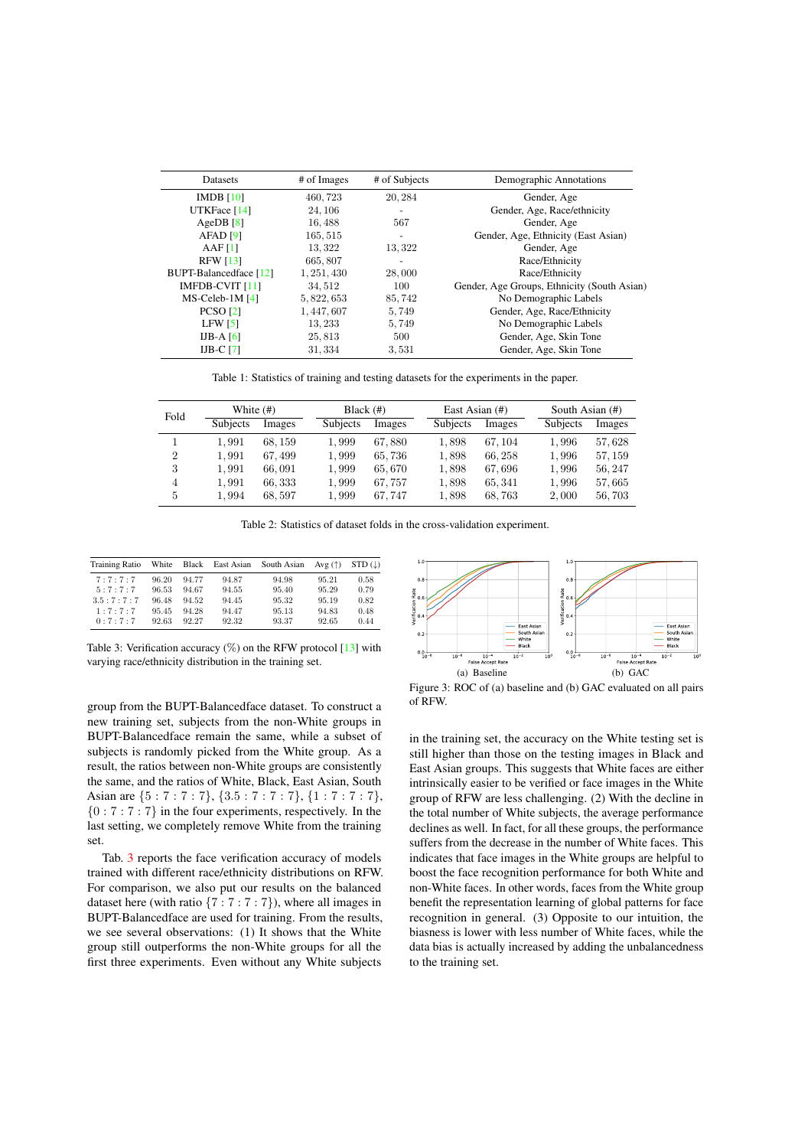| Datasets                      | # of Images | # of Subjects            | Demographic Annotations                     |  |
|-------------------------------|-------------|--------------------------|---------------------------------------------|--|
| IMDB [10]                     | 460,723     | 20, 284                  | Gender, Age                                 |  |
| UTKFace [14]                  | 24, 106     |                          | Gender, Age, Race/ethnicity                 |  |
| AgeDB $[8]$                   | 16,488      | 567                      | Gender, Age                                 |  |
| AFAD [9]                      | 165, 515    | $\overline{\phantom{0}}$ | Gender, Age, Ethnicity (East Asian)         |  |
| AAF[1]                        | 13, 322     | 13,322                   | Gender, Age                                 |  |
| <b>RFW</b> [13]               | 665,807     |                          | Race/Ethnicity                              |  |
| <b>BUPT-Balancedface</b> [12] | 1, 251, 430 | 28,000                   | Race/Ethnicity                              |  |
| IMFDB-CVIT [11]               | 34, 512     | 100                      | Gender, Age Groups, Ethnicity (South Asian) |  |
| $MS$ -Celeb-1M $[4]$          | 5, 822, 653 | 85,742                   | No Demographic Labels                       |  |
| <b>PCSO</b> [2]               | 1, 447, 607 | 5,749                    | Gender, Age, Race/Ethnicity                 |  |
| LFW <sub>51</sub>             | 13, 233     | 5,749                    | No Demographic Labels                       |  |
| IJB-A $[6]$                   | 25,813      | 500                      | Gender, Age, Skin Tone                      |  |
| IJB-C $[7]$                   | 31, 334     | 3,531                    | Gender, Age, Skin Tone                      |  |

Table 1: Statistics of training and testing datasets for the experiments in the paper.

| Fold           | White (#)       |         | Black $(\#)$ |        | East Asian (#)  |         | South Asian (#) |         |
|----------------|-----------------|---------|--------------|--------|-----------------|---------|-----------------|---------|
|                | <b>Subjects</b> | Images  | Subjects     | Images | <b>Subjects</b> | Images  | <b>Subjects</b> | Images  |
|                | 1.991           | 68, 159 | 1,999        | 67,880 | 1,898           | 67, 104 | 1,996           | 57,628  |
| $\overline{2}$ | 1.991           | 67.499  | 1,999        | 65,736 | 1,898           | 66.258  | 1,996           | 57, 159 |
| 3              | 1,991           | 66,091  | 1,999        | 65,670 | 1,898           | 67,696  | 1,996           | 56, 247 |
| $\overline{4}$ | 1,991           | 66, 333 | 1,999        | 67,757 | 1,898           | 65, 341 | 1,996           | 57,665  |
| 5              | 1,994           | 68,597  | 1,999        | 67.747 | 1,898           | 68,763  | 2,000           | 56,703  |

Table 2: Statistics of dataset folds in the cross-validation experiment.

| <b>Training Ratio</b> | White |       | Black East Asian | South Asian | Avg $(†)$ | $STD$ ( $\downarrow$ ) |
|-----------------------|-------|-------|------------------|-------------|-----------|------------------------|
| 7:7:7:7               | 96.20 | 94.77 | 94.87            | 94.98       | 95.21     | 0.58                   |
| 5:7:7:7               | 96.53 | 94.67 | 94.55            | 95.40       | 95.29     | 0.79                   |
| 3.5:7:7:7             | 96.48 | 94.52 | 94.45            | 95.32       | 95.19     | 0.82                   |
| 1:7:7:7               | 95.45 | 94.28 | 94.47            | 95.13       | 94.83     | 0.48                   |
| 0:7:7:7               | 92.63 | 92.27 | 92.32            | 93.37       | 92.65     | 0.44                   |

Table 3: Verification accuracy  $(\%)$  on the RFW protocol [13] with varying race/ethnicity distribution in the training set.

group from the BUPT-Balancedface dataset. To construct a new training set, subjects from the non-White groups in BUPT-Balancedface remain the same, while a subset of subjects is randomly picked from the White group. As a result, the ratios between non-White groups are consistently the same, and the ratios of White, Black, East Asian, South Asian are *{*5:7:7:7*}*, *{*3*.*5:7:7:7*}*, *{*1:7:7:7*}*, *{*0:7:7:7*}* in the four experiments, respectively. In the last setting, we completely remove White from the training set.

Tab. 3 reports the face verification accuracy of models trained with different race/ethnicity distributions on RFW. For comparison, we also put our results on the balanced dataset here (with ratio *{*7:7:7:7*}*), where all images in BUPT-Balancedface are used for training. From the results, we see several observations: (1) It shows that the White group still outperforms the non-White groups for all the first three experiments. Even without any White subjects



Figure 3: ROC of (a) baseline and (b) GAC evaluated on all pairs of RFW.

in the training set, the accuracy on the White testing set is still higher than those on the testing images in Black and East Asian groups. This suggests that White faces are either intrinsically easier to be verified or face images in the White group of RFW are less challenging. (2) With the decline in the total number of White subjects, the average performance declines as well. In fact, for all these groups, the performance suffers from the decrease in the number of White faces. This indicates that face images in the White groups are helpful to boost the face recognition performance for both White and non-White faces. In other words, faces from the White group benefit the representation learning of global patterns for face recognition in general. (3) Opposite to our intuition, the biasness is lower with less number of White faces, while the data bias is actually increased by adding the unbalancedness to the training set.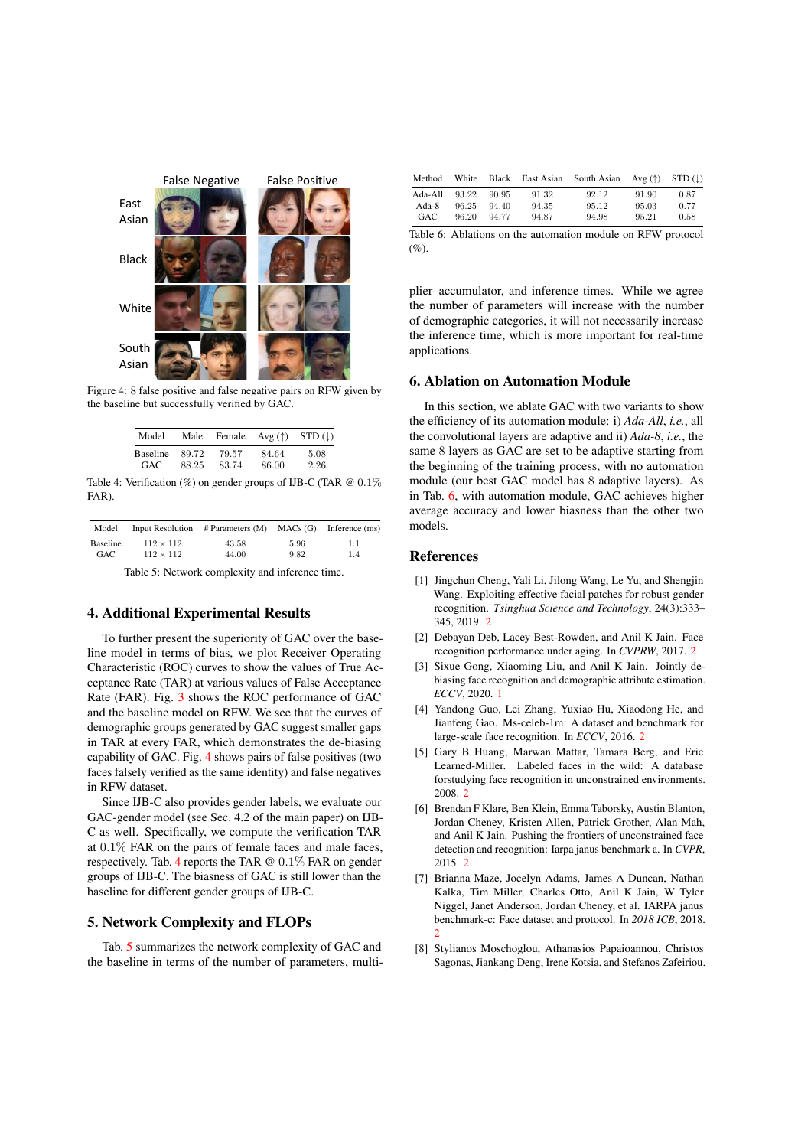

Figure 4: 8 false positive and false negative pairs on RFW given by the baseline but successfully verified by GAC.

| Model           |       |       | Male Female Avg $(\uparrow)$ STD $(\downarrow)$ |      |
|-----------------|-------|-------|-------------------------------------------------|------|
| <b>Baseline</b> | 89.72 | 79.57 | 84.64                                           | 5.08 |
| GAC.            | 88 25 | 8374  | 86.00                                           | 2.26 |

Table 4: Verification (%) on gender groups of IJB-C (TAR @ 0*.*1% FAR).

| Model    |                  | Input Resolution $\#$ Parameters (M) MACs (G) Inference (ms) |      |     |
|----------|------------------|--------------------------------------------------------------|------|-----|
| Baseline | $112 \times 112$ | 43.58                                                        | 5.96 | 1.1 |
| GAC      | $112 \times 112$ | 44.00                                                        | 9.82 | 1.4 |
|          |                  |                                                              |      |     |

Table 5: Network complexity and inference time.

## 4. Additional Experimental Results

To further present the superiority of GAC over the baseline model in terms of bias, we plot Receiver Operating Characteristic (ROC) curves to show the values of True Acceptance Rate (TAR) at various values of False Acceptance Rate (FAR). Fig. 3 shows the ROC performance of GAC and the baseline model on RFW. We see that the curves of demographic groups generated by GAC suggest smaller gaps in TAR at every FAR, which demonstrates the de-biasing capability of GAC. Fig. 4 shows pairs of false positives (two faces falsely verified as the same identity) and false negatives in RFW dataset.

Since IJB-C also provides gender labels, we evaluate our GAC-gender model (see Sec. 4.2 of the main paper) on IJB-C as well. Specifically, we compute the verification TAR at 0*.*1% FAR on the pairs of female faces and male faces, respectively. Tab. 4 reports the TAR @ 0*.*1% FAR on gender groups of IJB-C. The biasness of GAC is still lower than the baseline for different gender groups of IJB-C.

# 5. Network Complexity and FLOPs

Tab. 5 summarizes the network complexity of GAC and the baseline in terms of the number of parameters, multi-

| Method     | White | Black | East Asian | South Asian | Avg $(\uparrow)$ STD $(\downarrow)$ |      |
|------------|-------|-------|------------|-------------|-------------------------------------|------|
| Ada-All    | 93.22 | 90.95 | 91.32      | 92.12       | 91.90                               | 0.87 |
| Ada-8      | 96.25 | 94.40 | 94.35      | 95.12       | 95.03                               | 0.77 |
| <b>GAC</b> | 96.20 | 94.77 | 94.87      | 94.98       | 95.21                               | 0.58 |

Table 6: Ablations on the automation module on RFW protocol  $(%).$ 

plier–accumulator, and inference times. While we agree the number of parameters will increase with the number of demographic categories, it will not necessarily increase the inference time, which is more important for real-time applications.

## 6. Ablation on Automation Module

In this section, we ablate GAC with two variants to show the efficiency of its automation module: i) *Ada-All*, *i.e.*, all the convolutional layers are adaptive and ii) *Ada-8*, *i.e.*, the same 8 layers as GAC are set to be adaptive starting from the beginning of the training process, with no automation module (our best GAC model has 8 adaptive layers). As in Tab. 6, with automation module, GAC achieves higher average accuracy and lower biasness than the other two models.

#### References

- [1] Jingchun Cheng, Yali Li, Jilong Wang, Le Yu, and Shengjin Wang. Exploiting effective facial patches for robust gender recognition. *Tsinghua Science and Technology*, 24(3):333– 345, 2019. 2
- [2] Debayan Deb, Lacey Best-Rowden, and Anil K Jain. Face recognition performance under aging. In *CVPRW*, 2017. 2
- [3] Sixue Gong, Xiaoming Liu, and Anil K Jain. Jointly debiasing face recognition and demographic attribute estimation. *ECCV*, 2020. 1
- [4] Yandong Guo, Lei Zhang, Yuxiao Hu, Xiaodong He, and Jianfeng Gao. Ms-celeb-1m: A dataset and benchmark for large-scale face recognition. In *ECCV*, 2016. 2
- [5] Gary B Huang, Marwan Mattar, Tamara Berg, and Eric Learned-Miller. Labeled faces in the wild: A database forstudying face recognition in unconstrained environments. 2008. 2
- [6] Brendan F Klare, Ben Klein, Emma Taborsky, Austin Blanton, Jordan Cheney, Kristen Allen, Patrick Grother, Alan Mah, and Anil K Jain. Pushing the frontiers of unconstrained face detection and recognition: Iarpa janus benchmark a. In *CVPR*, 2015. 2
- [7] Brianna Maze, Jocelyn Adams, James A Duncan, Nathan Kalka, Tim Miller, Charles Otto, Anil K Jain, W Tyler Niggel, Janet Anderson, Jordan Cheney, et al. IARPA janus benchmark-c: Face dataset and protocol. In *2018 ICB*, 2018. 2
- [8] Stylianos Moschoglou, Athanasios Papaioannou, Christos Sagonas, Jiankang Deng, Irene Kotsia, and Stefanos Zafeiriou.